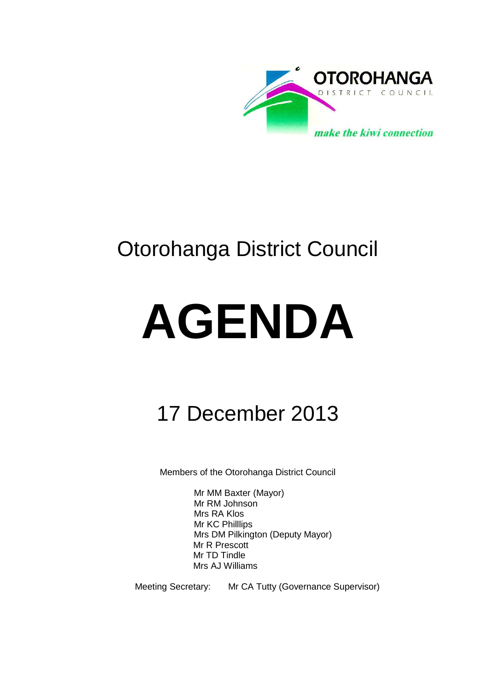

## Otorohanga District Council

# **AGENDA**

## 17 December 2013

Members of the Otorohanga District Council

Mr MM Baxter (Mayor) Mr RM Johnson Mrs RA Klos Mr KC Philllips Mrs DM Pilkington (Deputy Mayor) Mr R Prescott Mr TD Tindle Mrs AJ Williams

Meeting Secretary: Mr CA Tutty (Governance Supervisor)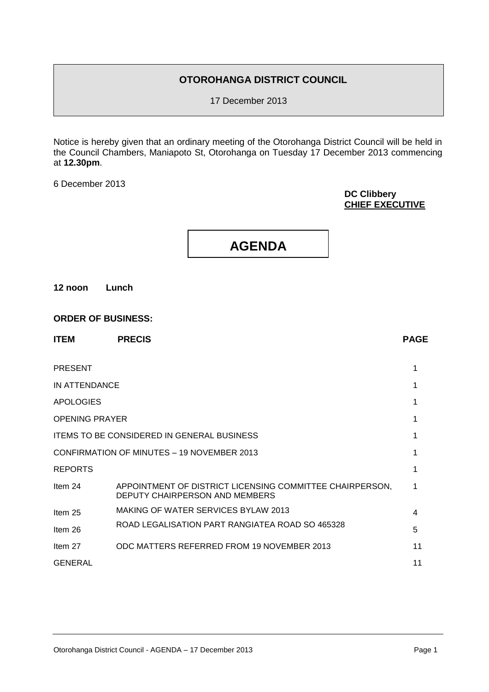#### **OTOROHANGA DISTRICT COUNCIL**

17 December 2013

Notice is hereby given that an ordinary meeting of the Otorohanga District Council will be held in the Council Chambers, Maniapoto St, Otorohanga on Tuesday 17 December 2013 commencing at **12.30pm**.

6 December 2013

#### **DC Clibbery CHIEF EXECUTIVE**

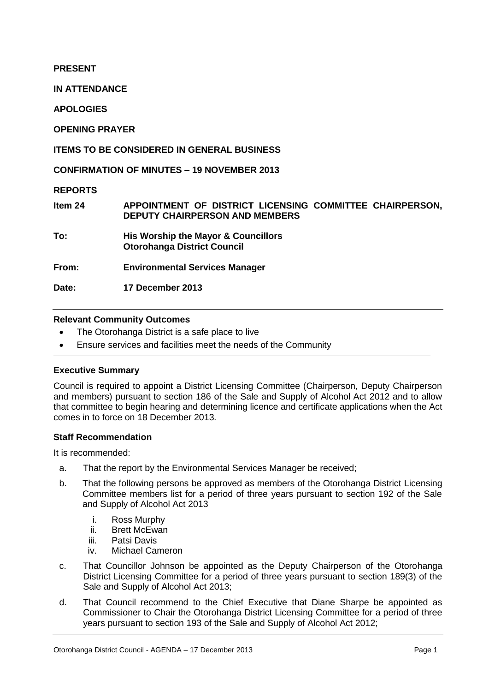#### **PRESENT**

**IN ATTENDANCE**

**APOLOGIES**

**OPENING PRAYER**

#### **ITEMS TO BE CONSIDERED IN GENERAL BUSINESS**

**CONFIRMATION OF MINUTES – 19 NOVEMBER 2013**

**REPORTS**

**Item 24 APPOINTMENT OF DISTRICT LICENSING COMMITTEE CHAIRPERSON, DEPUTY CHAIRPERSON AND MEMBERS**

**To: His Worship the Mayor & Councillors Otorohanga District Council**

**From: Environmental Services Manager**

**Date: 17 December 2013**

#### **Relevant Community Outcomes**

- The Otorohanga District is a safe place to live
- Ensure services and facilities meet the needs of the Community

#### **Executive Summary**

Council is required to appoint a District Licensing Committee (Chairperson, Deputy Chairperson and members) pursuant to section 186 of the Sale and Supply of Alcohol Act 2012 and to allow that committee to begin hearing and determining licence and certificate applications when the Act comes in to force on 18 December 2013*.* 

#### **Staff Recommendation**

It is recommended:

- a. That the report by the Environmental Services Manager be received;
- b. That the following persons be approved as members of the Otorohanga District Licensing Committee members list for a period of three years pursuant to section 192 of the Sale and Supply of Alcohol Act 2013
	- i. Ross Murphy
	- ii. Brett McEwan
	- iii. Patsi Davis
	- iv. Michael Cameron
- c. That Councillor Johnson be appointed as the Deputy Chairperson of the Otorohanga District Licensing Committee for a period of three years pursuant to section 189(3) of the Sale and Supply of Alcohol Act 2013;
- d. That Council recommend to the Chief Executive that Diane Sharpe be appointed as Commissioner to Chair the Otorohanga District Licensing Committee for a period of three years pursuant to section 193 of the Sale and Supply of Alcohol Act 2012;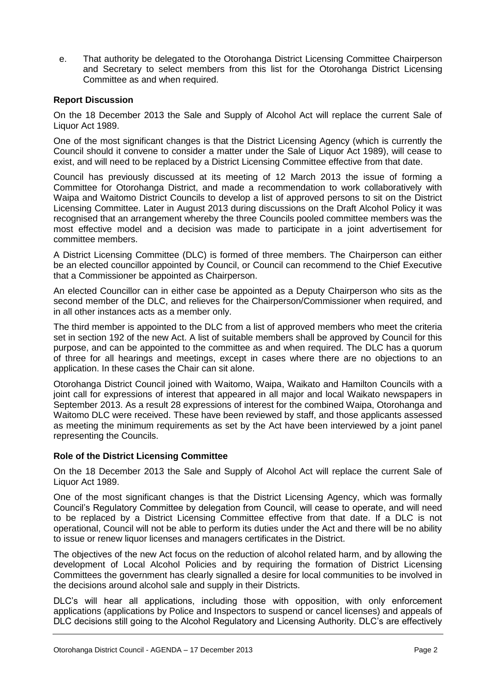e. That authority be delegated to the Otorohanga District Licensing Committee Chairperson and Secretary to select members from this list for the Otorohanga District Licensing Committee as and when required.

#### **Report Discussion**

On the 18 December 2013 the Sale and Supply of Alcohol Act will replace the current Sale of Liquor Act 1989.

One of the most significant changes is that the District Licensing Agency (which is currently the Council should it convene to consider a matter under the Sale of Liquor Act 1989), will cease to exist, and will need to be replaced by a District Licensing Committee effective from that date.

Council has previously discussed at its meeting of 12 March 2013 the issue of forming a Committee for Otorohanga District, and made a recommendation to work collaboratively with Waipa and Waitomo District Councils to develop a list of approved persons to sit on the District Licensing Committee. Later in August 2013 during discussions on the Draft Alcohol Policy it was recognised that an arrangement whereby the three Councils pooled committee members was the most effective model and a decision was made to participate in a joint advertisement for committee members.

A District Licensing Committee (DLC) is formed of three members. The Chairperson can either be an elected councillor appointed by Council, or Council can recommend to the Chief Executive that a Commissioner be appointed as Chairperson.

An elected Councillor can in either case be appointed as a Deputy Chairperson who sits as the second member of the DLC, and relieves for the Chairperson/Commissioner when required, and in all other instances acts as a member only.

The third member is appointed to the DLC from a list of approved members who meet the criteria set in section 192 of the new Act. A list of suitable members shall be approved by Council for this purpose, and can be appointed to the committee as and when required. The DLC has a quorum of three for all hearings and meetings, except in cases where there are no objections to an application. In these cases the Chair can sit alone.

Otorohanga District Council joined with Waitomo, Waipa, Waikato and Hamilton Councils with a joint call for expressions of interest that appeared in all major and local Waikato newspapers in September 2013. As a result 28 expressions of interest for the combined Waipa, Otorohanga and Waitomo DLC were received. These have been reviewed by staff, and those applicants assessed as meeting the minimum requirements as set by the Act have been interviewed by a joint panel representing the Councils.

#### **Role of the District Licensing Committee**

On the 18 December 2013 the Sale and Supply of Alcohol Act will replace the current Sale of Liquor Act 1989.

One of the most significant changes is that the District Licensing Agency, which was formally Council's Regulatory Committee by delegation from Council, will cease to operate, and will need to be replaced by a District Licensing Committee effective from that date. If a DLC is not operational, Council will not be able to perform its duties under the Act and there will be no ability to issue or renew liquor licenses and managers certificates in the District.

The objectives of the new Act focus on the reduction of alcohol related harm, and by allowing the development of Local Alcohol Policies and by requiring the formation of District Licensing Committees the government has clearly signalled a desire for local communities to be involved in the decisions around alcohol sale and supply in their Districts.

DLC's will hear all applications, including those with opposition, with only enforcement applications (applications by Police and Inspectors to suspend or cancel licenses) and appeals of DLC decisions still going to the Alcohol Regulatory and Licensing Authority. DLC's are effectively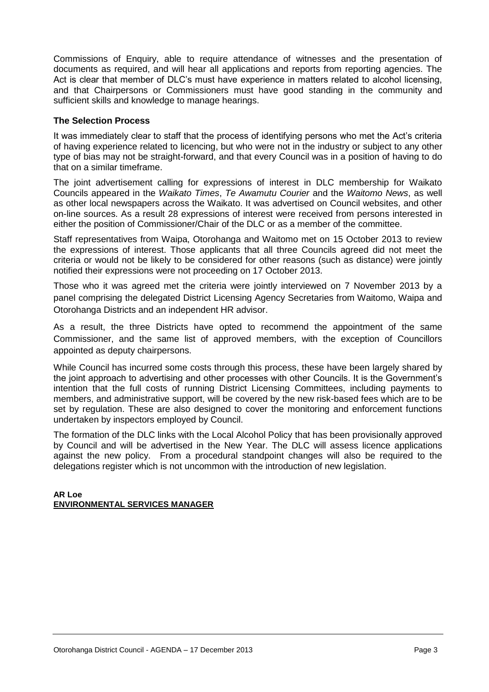Commissions of Enquiry, able to require attendance of witnesses and the presentation of documents as required, and will hear all applications and reports from reporting agencies. The Act is clear that member of DLC's must have experience in matters related to alcohol licensing, and that Chairpersons or Commissioners must have good standing in the community and sufficient skills and knowledge to manage hearings.

#### **The Selection Process**

It was immediately clear to staff that the process of identifying persons who met the Act's criteria of having experience related to licencing, but who were not in the industry or subject to any other type of bias may not be straight-forward, and that every Council was in a position of having to do that on a similar timeframe.

The joint advertisement calling for expressions of interest in DLC membership for Waikato Councils appeared in the *Waikato Times*, *Te Awamutu Courier* and the *Waitomo News*, as well as other local newspapers across the Waikato. It was advertised on Council websites, and other on-line sources. As a result 28 expressions of interest were received from persons interested in either the position of Commissioner/Chair of the DLC or as a member of the committee.

Staff representatives from Waipa, Otorohanga and Waitomo met on 15 October 2013 to review the expressions of interest. Those applicants that all three Councils agreed did not meet the criteria or would not be likely to be considered for other reasons (such as distance) were jointly notified their expressions were not proceeding on 17 October 2013.

Those who it was agreed met the criteria were jointly interviewed on 7 November 2013 by a panel comprising the delegated District Licensing Agency Secretaries from Waitomo, Waipa and Otorohanga Districts and an independent HR advisor.

As a result, the three Districts have opted to recommend the appointment of the same Commissioner, and the same list of approved members, with the exception of Councillors appointed as deputy chairpersons.

While Council has incurred some costs through this process, these have been largely shared by the joint approach to advertising and other processes with other Councils. It is the Government's intention that the full costs of running District Licensing Committees, including payments to members, and administrative support, will be covered by the new risk-based fees which are to be set by regulation. These are also designed to cover the monitoring and enforcement functions undertaken by inspectors employed by Council.

The formation of the DLC links with the Local Alcohol Policy that has been provisionally approved by Council and will be advertised in the New Year. The DLC will assess licence applications against the new policy. From a procedural standpoint changes will also be required to the delegations register which is not uncommon with the introduction of new legislation.

#### **AR Loe ENVIRONMENTAL SERVICES MANAGER**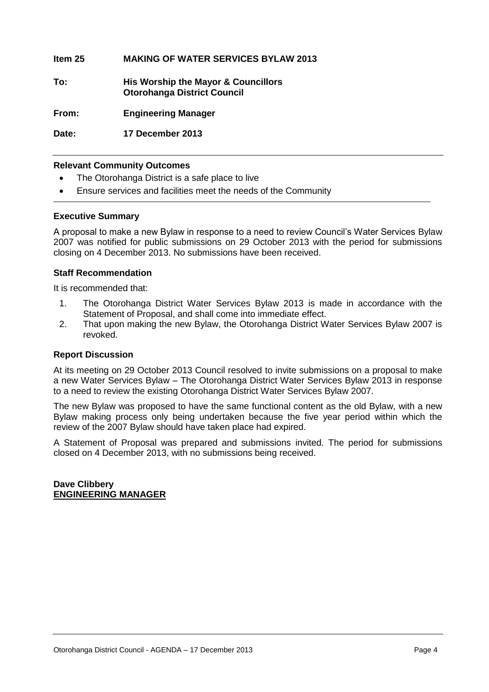**Item 25 MAKING OF WATER SERVICES BYLAW 2013**

**To: His Worship the Mayor & Councillors Otorohanga District Council**

**From: Engineering Manager**

**Date: 17 December 2013**

#### **Relevant Community Outcomes**

- The Otorohanga District is a safe place to live
- Ensure services and facilities meet the needs of the Community

#### **Executive Summary**

A proposal to make a new Bylaw in response to a need to review Council's Water Services Bylaw 2007 was notified for public submissions on 29 October 2013 with the period for submissions closing on 4 December 2013. No submissions have been received.

#### **Staff Recommendation**

It is recommended that:

- 1. The Otorohanga District Water Services Bylaw 2013 is made in accordance with the Statement of Proposal, and shall come into immediate effect.
- 2. That upon making the new Bylaw, the Otorohanga District Water Services Bylaw 2007 is revoked.

#### **Report Discussion**

At its meeting on 29 October 2013 Council resolved to invite submissions on a proposal to make a new Water Services Bylaw – The Otorohanga District Water Services Bylaw 2013 in response to a need to review the existing Otorohanga District Water Services Bylaw 2007.

The new Bylaw was proposed to have the same functional content as the old Bylaw, with a new Bylaw making process only being undertaken because the five year period within which the review of the 2007 Bylaw should have taken place had expired.

A Statement of Proposal was prepared and submissions invited. The period for submissions closed on 4 December 2013, with no submissions being received.

**Dave Clibbery ENGINEERING MANAGER**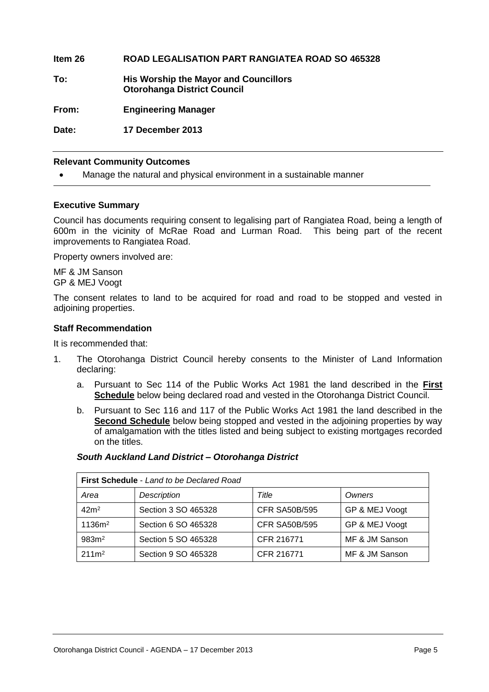**Item 26 ROAD LEGALISATION PART RANGIATEA ROAD SO 465328 To: His Worship the Mayor and Councillors Otorohanga District Council From: Engineering Manager Date: 17 December 2013**

#### **Relevant Community Outcomes**

Manage the natural and physical environment in a sustainable manner

#### **Executive Summary**

Council has documents requiring consent to legalising part of Rangiatea Road, being a length of 600m in the vicinity of McRae Road and Lurman Road. This being part of the recent improvements to Rangiatea Road.

Property owners involved are:

MF & JM Sanson GP & MEJ Voogt

The consent relates to land to be acquired for road and road to be stopped and vested in adjoining properties.

#### **Staff Recommendation**

It is recommended that:

- 1. The Otorohanga District Council hereby consents to the Minister of Land Information declaring:
	- a. Pursuant to Sec 114 of the Public Works Act 1981 the land described in the **First Schedule** below being declared road and vested in the Otorohanga District Council.
	- b. Pursuant to Sec 116 and 117 of the Public Works Act 1981 the land described in the **Second Schedule** below being stopped and vested in the adjoining properties by way of amalgamation with the titles listed and being subject to existing mortgages recorded on the titles.

#### *South Auckland Land District – Otorohanga District*

|                    | <b>First Schedule - Land to be Declared Road</b> |                      |                |
|--------------------|--------------------------------------------------|----------------------|----------------|
| Area               | Description                                      | Title                | Owners         |
| 42 <sup>m²</sup>   | Section 3 SO 465328                              | <b>CFR SA50B/595</b> | GP & MEJ Voogt |
| 1136m <sup>2</sup> | Section 6 SO 465328                              | <b>CFR SA50B/595</b> | GP & MEJ Voogt |
| 983m <sup>2</sup>  | Section 5 SO 465328                              | CFR 216771           | MF & JM Sanson |
| 211m <sup>2</sup>  | Section 9 SO 465328                              | CFR 216771           | MF & JM Sanson |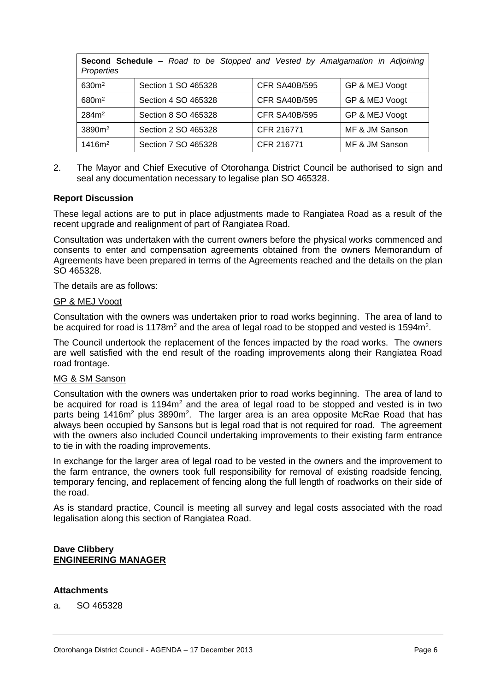| Properties         | Second Schedule - Road to be Stopped and Vested by Amalgamation in Adjoining |                      |                |
|--------------------|------------------------------------------------------------------------------|----------------------|----------------|
| 630 <sup>m²</sup>  | Section 1 SO 465328                                                          | <b>CFR SA40B/595</b> | GP & MEJ Voogt |
| 680m <sup>2</sup>  | Section 4 SO 465328                                                          | <b>CFR SA40B/595</b> | GP & MEJ Voogt |
| 284m <sup>2</sup>  | Section 8 SO 465328                                                          | <b>CFR SA40B/595</b> | GP & MEJ Voogt |
| 3890m <sup>2</sup> | Section 2 SO 465328                                                          | CFR 216771           | MF & JM Sanson |
| 1416m <sup>2</sup> | Section 7 SO 465328                                                          | CFR 216771           | MF & JM Sanson |

2. The Mayor and Chief Executive of Otorohanga District Council be authorised to sign and seal any documentation necessary to legalise plan SO 465328.

#### **Report Discussion**

These legal actions are to put in place adjustments made to Rangiatea Road as a result of the recent upgrade and realignment of part of Rangiatea Road.

Consultation was undertaken with the current owners before the physical works commenced and consents to enter and compensation agreements obtained from the owners Memorandum of Agreements have been prepared in terms of the Agreements reached and the details on the plan SO 465328.

The details are as follows:

#### GP & MEJ Voogt

Consultation with the owners was undertaken prior to road works beginning. The area of land to be acquired for road is 1178 $m<sup>2</sup>$  and the area of legal road to be stopped and vested is 1594 $m<sup>2</sup>$ .

The Council undertook the replacement of the fences impacted by the road works. The owners are well satisfied with the end result of the roading improvements along their Rangiatea Road road frontage.

#### MG & SM Sanson

Consultation with the owners was undertaken prior to road works beginning. The area of land to be acquired for road is 1194m<sup>2</sup> and the area of legal road to be stopped and vested is in two parts being 1416m<sup>2</sup> plus 3890m<sup>2</sup>. The larger area is an area opposite McRae Road that has always been occupied by Sansons but is legal road that is not required for road. The agreement with the owners also included Council undertaking improvements to their existing farm entrance to tie in with the roading improvements.

In exchange for the larger area of legal road to be vested in the owners and the improvement to the farm entrance, the owners took full responsibility for removal of existing roadside fencing, temporary fencing, and replacement of fencing along the full length of roadworks on their side of the road.

As is standard practice, Council is meeting all survey and legal costs associated with the road legalisation along this section of Rangiatea Road.

#### **Dave Clibbery ENGINEERING MANAGER**

#### **Attachments**

a. SO 465328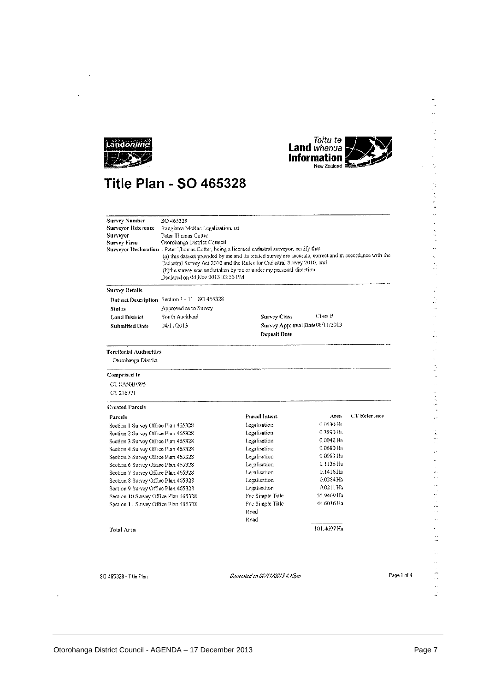



医子宫的

ļ,

医骨盆 医阿斯氏麻痹 计分布式 网络一种小型小型

化乙酰乙酰胺 计可相关 化一种气体气体 计分布式编译

y.

医血管 经公司收益 计设备分析器

 $\ddot{\phantom{a}}$ 

医血管反射 化乙酰胺

 $\hat{\phi}$ j.

### **Title Plan - SO 465328**

| Surveyor Reference<br>Surveyor<br>Survey Firm | SO 465328<br>Rangiatea McRae Legalisation nzt<br>Peter Thomas Cotter<br>Otorohanga District Council<br>Surveyor Declaration 1 Peter Thomas Cotter, being a licensed cadastral surveyor, certify that<br>(a) this dataset provided by me and its related survey are accurate, correct and in accordance with the<br>Cadastral Survey Act 2002 and the Rules for Cadastral Survey 2010, and<br>(b)the survey was undertaken by me or under my personal direction<br>Declared on 04 Nov 2013 03:56 PM |                     |             |              |  |
|-----------------------------------------------|----------------------------------------------------------------------------------------------------------------------------------------------------------------------------------------------------------------------------------------------------------------------------------------------------------------------------------------------------------------------------------------------------------------------------------------------------------------------------------------------------|---------------------|-------------|--------------|--|
| Survey Details                                |                                                                                                                                                                                                                                                                                                                                                                                                                                                                                                    |                     |             |              |  |
|                                               | Dataset Description Section 1-11 SO 465328                                                                                                                                                                                                                                                                                                                                                                                                                                                         |                     |             |              |  |
| <b>Status</b>                                 | Approved as to Survey                                                                                                                                                                                                                                                                                                                                                                                                                                                                              |                     |             |              |  |
| <b>Land District</b>                          | South Auckland                                                                                                                                                                                                                                                                                                                                                                                                                                                                                     | <b>Survey Class</b> | Class B     |              |  |
| <b>Submitted Date</b>                         | Survey Approval Date06/11/2013<br>04/11/2013<br><b>Deposit Date</b>                                                                                                                                                                                                                                                                                                                                                                                                                                |                     |             |              |  |
| Territorial Authorities                       |                                                                                                                                                                                                                                                                                                                                                                                                                                                                                                    |                     |             |              |  |
| Otorohanga District                           |                                                                                                                                                                                                                                                                                                                                                                                                                                                                                                    |                     |             |              |  |
| Comprised In                                  |                                                                                                                                                                                                                                                                                                                                                                                                                                                                                                    |                     |             |              |  |
| CT SA50B/595                                  |                                                                                                                                                                                                                                                                                                                                                                                                                                                                                                    |                     |             |              |  |
| CT 216771                                     |                                                                                                                                                                                                                                                                                                                                                                                                                                                                                                    |                     |             |              |  |
| <b>Created Parcels</b>                        |                                                                                                                                                                                                                                                                                                                                                                                                                                                                                                    |                     |             |              |  |
| Parcels                                       |                                                                                                                                                                                                                                                                                                                                                                                                                                                                                                    | Parcel Intent       | Area        | CT Reference |  |
| Section 1 Survey Office Plan 465328           |                                                                                                                                                                                                                                                                                                                                                                                                                                                                                                    | Legalisation        | 0.0630 Ha   |              |  |
| Section 2 Survey Office Plan 465328           |                                                                                                                                                                                                                                                                                                                                                                                                                                                                                                    | Legalisation        | 0.3890 Ha   |              |  |
| Section 3 Survey Office Plan 465328           |                                                                                                                                                                                                                                                                                                                                                                                                                                                                                                    | Legalisation        | $0.0042$ Ha |              |  |
| Section 4 Survey Office Plan 465328           |                                                                                                                                                                                                                                                                                                                                                                                                                                                                                                    | Legalisation        | 0.0680 Ha   |              |  |
| Section 5 Survey Office Plan 465328           |                                                                                                                                                                                                                                                                                                                                                                                                                                                                                                    | Legalisation        | 0.0983 Ha   |              |  |
| Section 6 Survey Office Plan 465328           |                                                                                                                                                                                                                                                                                                                                                                                                                                                                                                    | Legalisation        | 0.1136 Ha   |              |  |
| Section 7 Survey Office Plan 465328           |                                                                                                                                                                                                                                                                                                                                                                                                                                                                                                    | Legalisation        | 0.1416 Ha   |              |  |
| Section 8 Survey Office Plan 465328           |                                                                                                                                                                                                                                                                                                                                                                                                                                                                                                    | Legalisation        | $0.0284$ Ha |              |  |
| Section 9 Survey Office Plan 465328           |                                                                                                                                                                                                                                                                                                                                                                                                                                                                                                    | Legalisation        | 0.0211 Ha   |              |  |
| Section 10 Survey Office Plan 465328          |                                                                                                                                                                                                                                                                                                                                                                                                                                                                                                    | Fee Simple Title    | 55.9409 Ha  |              |  |
| Section 11 Survey Office Plan 465328          |                                                                                                                                                                                                                                                                                                                                                                                                                                                                                                    | Fee Simple Title    | 44.6016 Ha  |              |  |
|                                               |                                                                                                                                                                                                                                                                                                                                                                                                                                                                                                    | Road                |             |              |  |
|                                               |                                                                                                                                                                                                                                                                                                                                                                                                                                                                                                    | Road                |             |              |  |
| <b>Total Area</b>                             |                                                                                                                                                                                                                                                                                                                                                                                                                                                                                                    |                     | 101.4697 Ha |              |  |
|                                               |                                                                                                                                                                                                                                                                                                                                                                                                                                                                                                    |                     |             |              |  |

 $\overline{\phantom{a}}$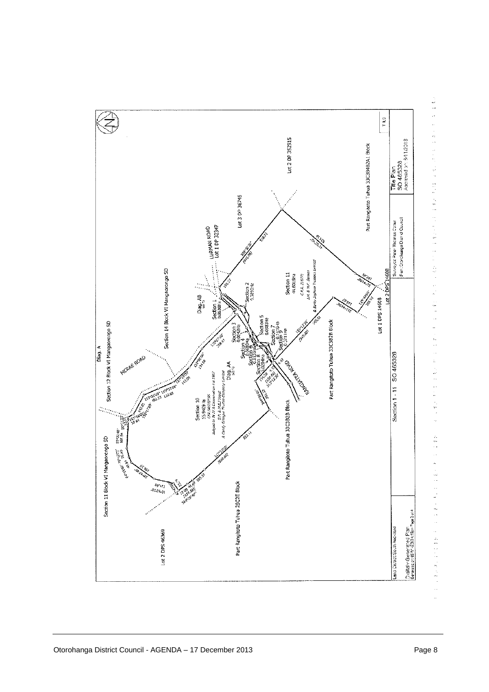

医精神病 化二甲酰胺 计打字符号 计数据 医静脉 医血管管 计计算机 医紫色 计算机 医中间性 医血清性 医血清性 医血清性 计数字符号 医额神经节 化三硼硅 计设计文化设计 化二乙酸化乙二酸乙酸盐 化二十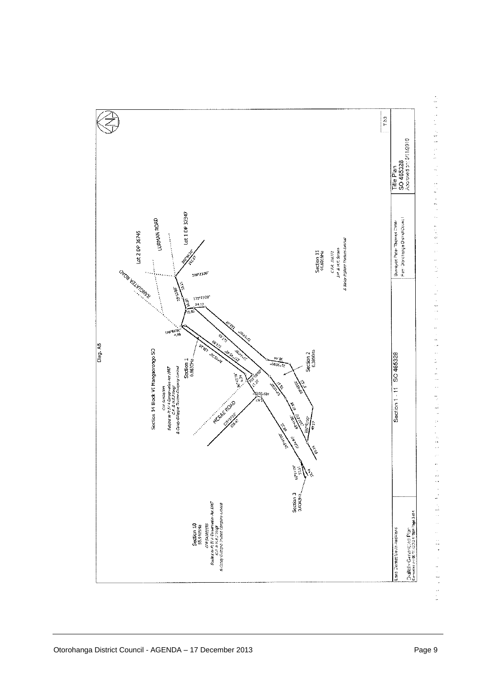

医骨质 计自动调整 计对称 医感觉性脑炎 医单位 计分类器 计数字 化电流 医阿米利氏征 医阿米利氏征 医血管性 计分布调整 计自动控制 计分类 医神经性 医血管神经 医血管神经 医血管神经 医血管神经 医血管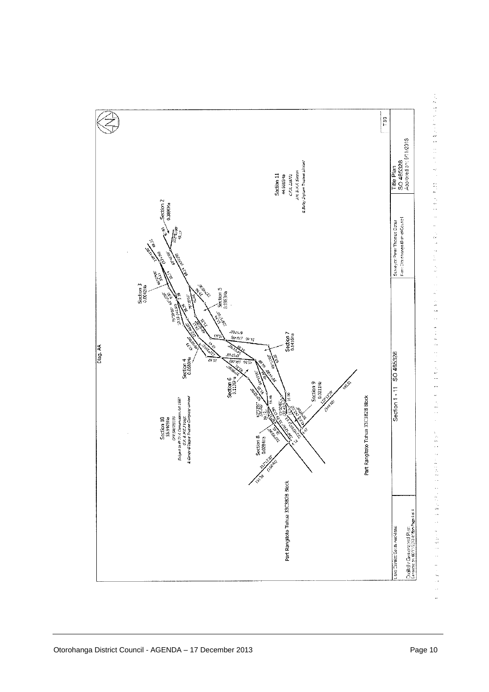